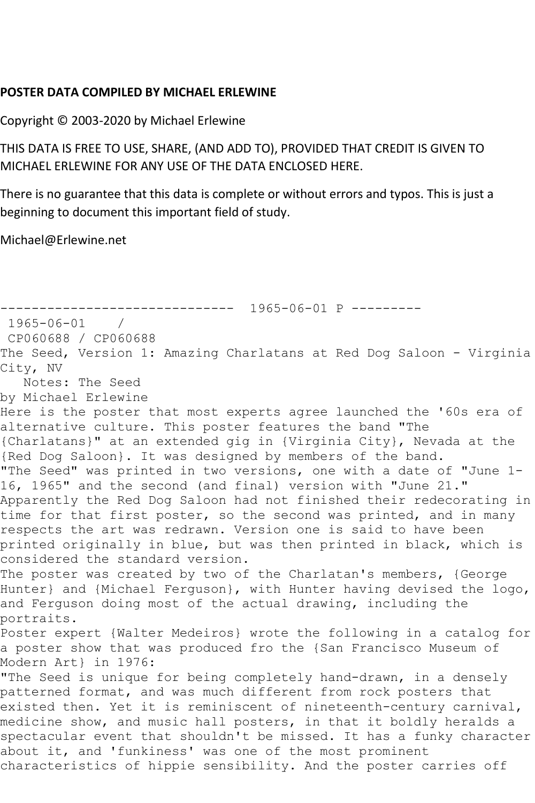## **POSTER DATA COMPILED BY MICHAEL ERLEWINE**

Copyright © 2003-2020 by Michael Erlewine

THIS DATA IS FREE TO USE, SHARE, (AND ADD TO), PROVIDED THAT CREDIT IS GIVEN TO MICHAEL ERLEWINE FOR ANY USE OF THE DATA ENCLOSED HERE.

There is no guarantee that this data is complete or without errors and typos. This is just a beginning to document this important field of study.

Michael@Erlewine.net

------------------------------ 1965-06-01 P --------- 1965-06-01 / CP060688 / CP060688 The Seed, Version 1: Amazing Charlatans at Red Dog Saloon - Virginia City, NV Notes: The Seed by Michael Erlewine Here is the poster that most experts agree launched the '60s era of alternative culture. This poster features the band "The {Charlatans}" at an extended gig in {Virginia City}, Nevada at the {Red Dog Saloon}. It was designed by members of the band. "The Seed" was printed in two versions, one with a date of "June 1- 16, 1965" and the second (and final) version with "June 21." Apparently the Red Dog Saloon had not finished their redecorating in time for that first poster, so the second was printed, and in many respects the art was redrawn. Version one is said to have been printed originally in blue, but was then printed in black, which is considered the standard version. The poster was created by two of the Charlatan's members, {George Hunter} and {Michael Ferguson}, with Hunter having devised the logo, and Ferguson doing most of the actual drawing, including the portraits. Poster expert {Walter Medeiros} wrote the following in a catalog for a poster show that was produced fro the {San Francisco Museum of Modern Art} in 1976: "The Seed is unique for being completely hand-drawn, in a densely patterned format, and was much different from rock posters that existed then. Yet it is reminiscent of nineteenth-century carnival, medicine show, and music hall posters, in that it boldly heralds a spectacular event that shouldn't be missed. It has a funky character about it, and 'funkiness' was one of the most prominent characteristics of hippie sensibility. And the poster carries off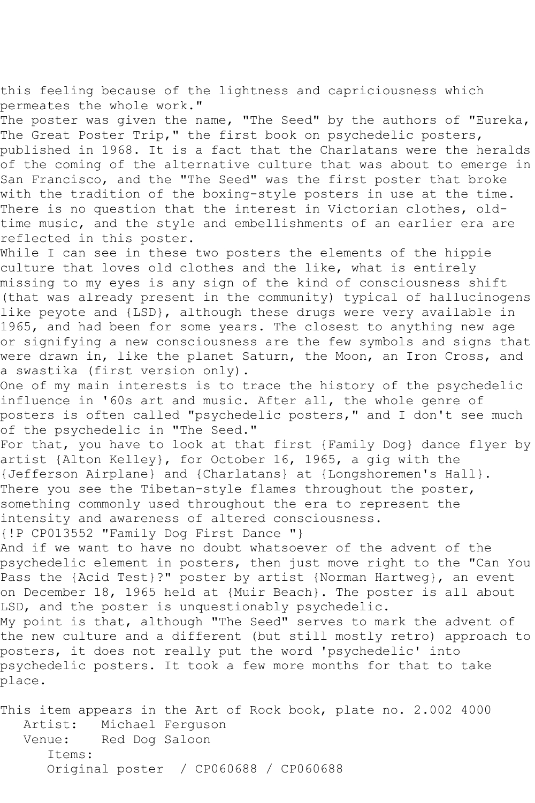this feeling because of the lightness and capriciousness which permeates the whole work."

The poster was given the name, "The Seed" by the authors of "Eureka, The Great Poster Trip," the first book on psychedelic posters, published in 1968. It is a fact that the Charlatans were the heralds of the coming of the alternative culture that was about to emerge in San Francisco, and the "The Seed" was the first poster that broke with the tradition of the boxing-style posters in use at the time. There is no question that the interest in Victorian clothes, oldtime music, and the style and embellishments of an earlier era are reflected in this poster.

While I can see in these two posters the elements of the hippie culture that loves old clothes and the like, what is entirely missing to my eyes is any sign of the kind of consciousness shift (that was already present in the community) typical of hallucinogens like peyote and {LSD}, although these drugs were very available in 1965, and had been for some years. The closest to anything new age or signifying a new consciousness are the few symbols and signs that were drawn in, like the planet Saturn, the Moon, an Iron Cross, and a swastika (first version only).

One of my main interests is to trace the history of the psychedelic influence in '60s art and music. After all, the whole genre of posters is often called "psychedelic posters," and I don't see much of the psychedelic in "The Seed."

For that, you have to look at that first {Family Dog} dance flyer by artist {Alton Kelley}, for October 16, 1965, a gig with the {Jefferson Airplane} and {Charlatans} at {Longshoremen's Hall}. There you see the Tibetan-style flames throughout the poster, something commonly used throughout the era to represent the intensity and awareness of altered consciousness.

{!P CP013552 "Family Dog First Dance "}

And if we want to have no doubt whatsoever of the advent of the psychedelic element in posters, then just move right to the "Can You Pass the {Acid Test}?" poster by artist {Norman Hartweg}, an event on December 18, 1965 held at {Muir Beach}. The poster is all about LSD, and the poster is unquestionably psychedelic.

My point is that, although "The Seed" serves to mark the advent of the new culture and a different (but still mostly retro) approach to posters, it does not really put the word 'psychedelic' into psychedelic posters. It took a few more months for that to take place.

This item appears in the Art of Rock book, plate no. 2.002 4000 Artist: Michael Ferguson Venue: Red Dog Saloon Items: Original poster / CP060688 / CP060688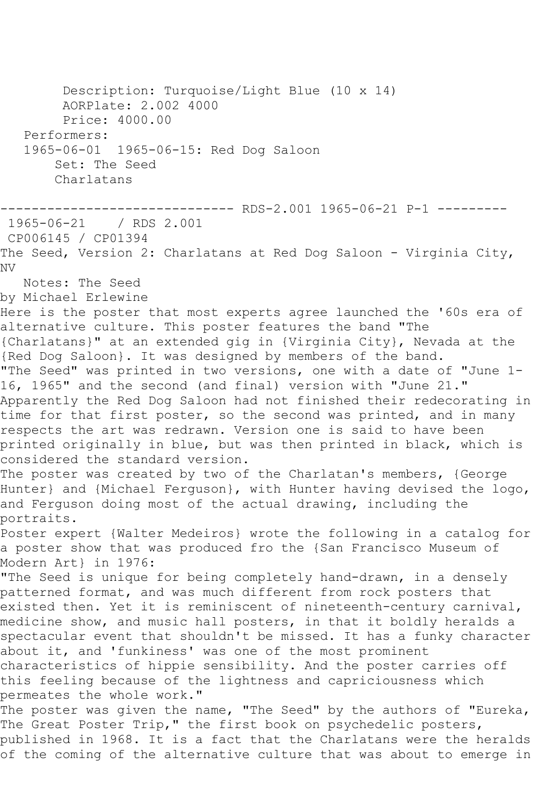Description: Turquoise/Light Blue (10 x 14) AORPlate: 2.002 4000 Price: 4000.00 Performers: 1965-06-01 1965-06-15: Red Dog Saloon Set: The Seed Charlatans ------------- RDS-2.001 1965-06-21 P-1 ---------1965-06-21 / RDS 2.001 CP006145 / CP01394 The Seed, Version 2: Charlatans at Red Dog Saloon - Virginia City, NV Notes: The Seed by Michael Erlewine Here is the poster that most experts agree launched the '60s era of alternative culture. This poster features the band "The {Charlatans}" at an extended gig in {Virginia City}, Nevada at the {Red Dog Saloon}. It was designed by members of the band. "The Seed" was printed in two versions, one with a date of "June 1- 16, 1965" and the second (and final) version with "June 21." Apparently the Red Dog Saloon had not finished their redecorating in time for that first poster, so the second was printed, and in many respects the art was redrawn. Version one is said to have been printed originally in blue, but was then printed in black, which is considered the standard version. The poster was created by two of the Charlatan's members, {George Hunter} and {Michael Ferguson}, with Hunter having devised the logo, and Ferguson doing most of the actual drawing, including the portraits. Poster expert {Walter Medeiros} wrote the following in a catalog for a poster show that was produced fro the {San Francisco Museum of Modern Art} in 1976: "The Seed is unique for being completely hand-drawn, in a densely patterned format, and was much different from rock posters that existed then. Yet it is reminiscent of nineteenth-century carnival, medicine show, and music hall posters, in that it boldly heralds a spectacular event that shouldn't be missed. It has a funky character about it, and 'funkiness' was one of the most prominent characteristics of hippie sensibility. And the poster carries off this feeling because of the lightness and capriciousness which permeates the whole work." The poster was given the name, "The Seed" by the authors of "Eureka, The Great Poster Trip," the first book on psychedelic posters, published in 1968. It is a fact that the Charlatans were the heralds of the coming of the alternative culture that was about to emerge in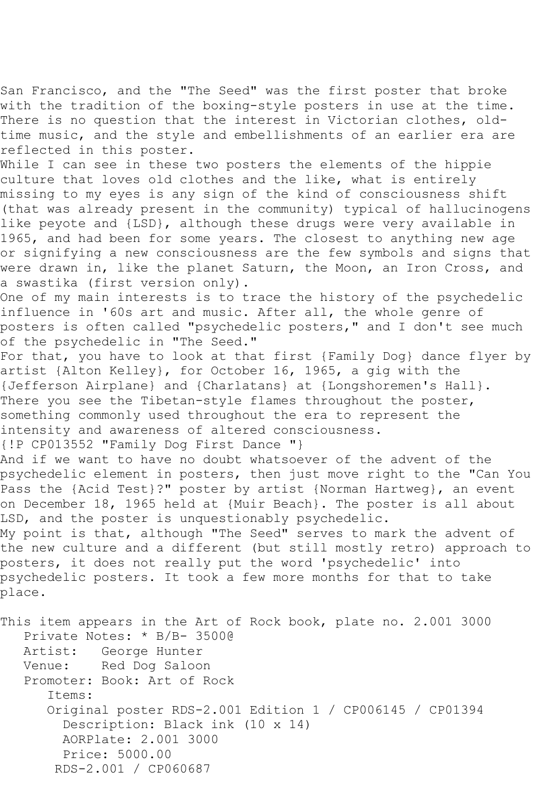San Francisco, and the "The Seed" was the first poster that broke with the tradition of the boxing-style posters in use at the time. There is no question that the interest in Victorian clothes, oldtime music, and the style and embellishments of an earlier era are reflected in this poster.

While I can see in these two posters the elements of the hippie culture that loves old clothes and the like, what is entirely missing to my eyes is any sign of the kind of consciousness shift (that was already present in the community) typical of hallucinogens like peyote and {LSD}, although these drugs were very available in 1965, and had been for some years. The closest to anything new age or signifying a new consciousness are the few symbols and signs that were drawn in, like the planet Saturn, the Moon, an Iron Cross, and a swastika (first version only).

One of my main interests is to trace the history of the psychedelic influence in '60s art and music. After all, the whole genre of posters is often called "psychedelic posters," and I don't see much of the psychedelic in "The Seed."

For that, you have to look at that first {Family Dog} dance flyer by artist {Alton Kelley}, for October 16, 1965, a gig with the {Jefferson Airplane} and {Charlatans} at {Longshoremen's Hall}. There you see the Tibetan-style flames throughout the poster, something commonly used throughout the era to represent the intensity and awareness of altered consciousness.

{!P CP013552 "Family Dog First Dance "}

And if we want to have no doubt whatsoever of the advent of the psychedelic element in posters, then just move right to the "Can You Pass the {Acid Test}?" poster by artist {Norman Hartweg}, an event on December 18, 1965 held at {Muir Beach}. The poster is all about LSD, and the poster is unquestionably psychedelic.

My point is that, although "The Seed" serves to mark the advent of the new culture and a different (but still mostly retro) approach to posters, it does not really put the word 'psychedelic' into psychedelic posters. It took a few more months for that to take place.

This item appears in the Art of Rock book, plate no. 2.001 3000 Private Notes: \* B/B- 3500@ Artist: George Hunter<br>Venue: Red Dog Saloo Red Dog Saloon Promoter: Book: Art of Rock Items: Original poster RDS-2.001 Edition 1 / CP006145 / CP01394 Description: Black ink (10 x 14) AORPlate: 2.001 3000 Price: 5000.00 RDS-2.001 / CP060687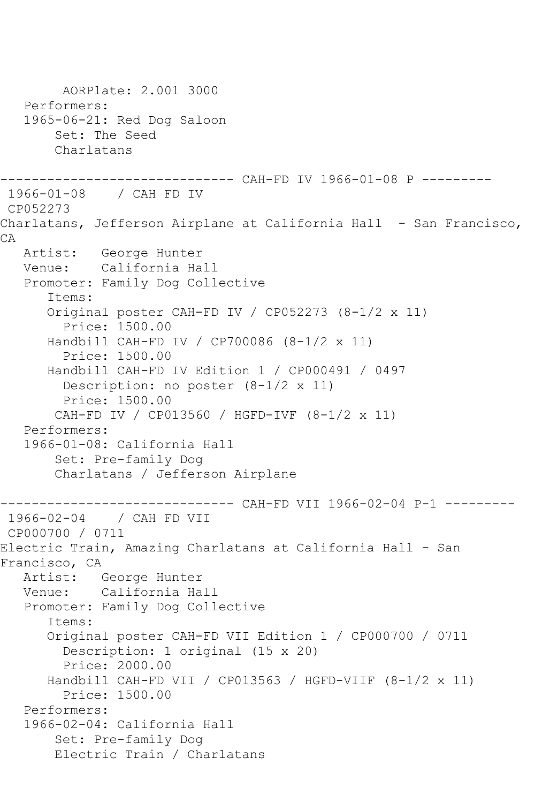```
 AORPlate: 2.001 3000 
    Performers:
    1965-06-21: Red Dog Saloon
        Set: The Seed
        Charlatans
------------------------------ CAH-FD IV 1966-01-08 P ---------
1966-01-08 / CAH FD IV
CP052273
Charlatans, Jefferson Airplane at California Hall - San Francisco,
CA
   Artist: George Hunter
   Venue: California Hall
    Promoter: Family Dog Collective
       Items:
       Original poster CAH-FD IV / CP052273 (8-1/2 x 11)
         Price: 1500.00
       Handbill CAH-FD IV / CP700086 (8-1/2 x 11)
         Price: 1500.00
       Handbill CAH-FD IV Edition 1 / CP000491 / 0497
         Description: no poster (8-1/2 x 11)
         Price: 1500.00
        CAH-FD IV / CP013560 / HGFD-IVF (8-1/2 x 11)
    Performers:
    1966-01-08: California Hall
        Set: Pre-family Dog
        Charlatans / Jefferson Airplane
                 ------------------------------ CAH-FD VII 1966-02-04 P-1 ---------
1966-02-04 / CAH FD VII
CP000700 / 0711
Electric Train, Amazing Charlatans at California Hall - San 
Francisco, CA
   Artist: George Hunter
   Venue: California Hall
    Promoter: Family Dog Collective
       Items:
       Original poster CAH-FD VII Edition 1 / CP000700 / 0711
         Description: 1 original (15 x 20)
         Price: 2000.00
       Handbill CAH-FD VII / CP013563 / HGFD-VIIF (8-1/2 x 11)
         Price: 1500.00
    Performers:
    1966-02-04: California Hall
        Set: Pre-family Dog
        Electric Train / Charlatans
```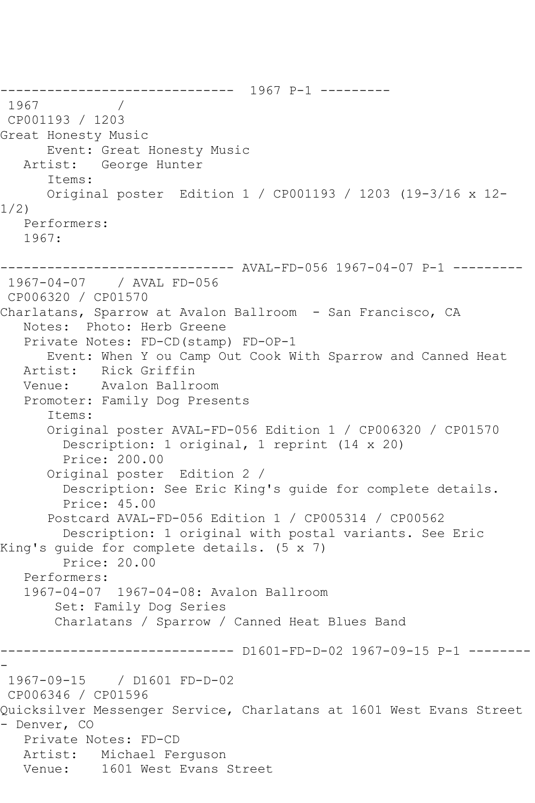------------------------------ 1967 P-1 --------- 1967 CP001193 / 1203 Great Honesty Music Event: Great Honesty Music Artist: George Hunter Items: Original poster Edition 1 / CP001193 / 1203 (19-3/16 x 12- 1/2) Performers: 1967: ------------------------------ AVAL-FD-056 1967-04-07 P-1 --------- 1967-04-07 / AVAL FD-056 CP006320 / CP01570 Charlatans, Sparrow at Avalon Ballroom - San Francisco, CA Notes: Photo: Herb Greene Private Notes: FD-CD(stamp) FD-OP-1 Event: When Y ou Camp Out Cook With Sparrow and Canned Heat Artist: Rick Griffin Venue: Avalon Ballroom Promoter: Family Dog Presents Items: Original poster AVAL-FD-056 Edition 1 / CP006320 / CP01570 Description: 1 original, 1 reprint (14 x 20) Price: 200.00 Original poster Edition 2 / Description: See Eric King's guide for complete details. Price: 45.00 Postcard AVAL-FD-056 Edition 1 / CP005314 / CP00562 Description: 1 original with postal variants. See Eric King's guide for complete details. (5 x 7) Price: 20.00 Performers: 1967-04-07 1967-04-08: Avalon Ballroom Set: Family Dog Series Charlatans / Sparrow / Canned Heat Blues Band ------------------------------ D1601-FD-D-02 1967-09-15 P-1 -------- - 1967-09-15 / D1601 FD-D-02 CP006346 / CP01596 Quicksilver Messenger Service, Charlatans at 1601 West Evans Street - Denver, CO Private Notes: FD-CD Artist: Michael Ferguson Venue: 1601 West Evans Street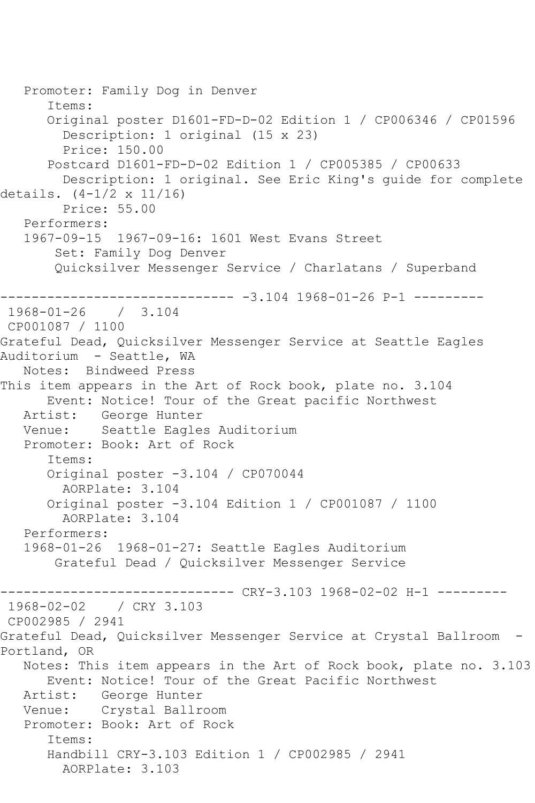```
 Promoter: Family Dog in Denver
       Items:
       Original poster D1601-FD-D-02 Edition 1 / CP006346 / CP01596
         Description: 1 original (15 x 23)
         Price: 150.00
       Postcard D1601-FD-D-02 Edition 1 / CP005385 / CP00633
         Description: 1 original. See Eric King's guide for complete 
details. (4-1/2 x 11/16)
         Price: 55.00
   Performers:
   1967-09-15 1967-09-16: 1601 West Evans Street
        Set: Family Dog Denver
       Quicksilver Messenger Service / Charlatans / Superband
------------------------------ -3.104 1968-01-26 P-1 ---------
1968-01-26 / 3.104
CP001087 / 1100
Grateful Dead, Quicksilver Messenger Service at Seattle Eagles 
Auditorium - Seattle, WA
   Notes: Bindweed Press
This item appears in the Art of Rock book, plate no. 3.104
      Event: Notice! Tour of the Great pacific Northwest
   Artist: George Hunter
   Venue: Seattle Eagles Auditorium
   Promoter: Book: Art of Rock
       Items:
       Original poster -3.104 / CP070044
         AORPlate: 3.104 
       Original poster -3.104 Edition 1 / CP001087 / 1100
        AORPlate: 3.104 
   Performers:
   1968-01-26 1968-01-27: Seattle Eagles Auditorium
       Grateful Dead / Quicksilver Messenger Service
                         ------ CRY-3.103 1968-02-02 H-1 ---------
1968-02-02 / CRY 3.103
CP002985 / 2941
Grateful Dead, Quicksilver Messenger Service at Crystal Ballroom -
Portland, OR
   Notes: This item appears in the Art of Rock book, plate no. 3.103
       Event: Notice! Tour of the Great Pacific Northwest
   Artist: George Hunter
   Venue: Crystal Ballroom
   Promoter: Book: Art of Rock
       Items:
       Handbill CRY-3.103 Edition 1 / CP002985 / 2941
        AORPlate: 3.103
```